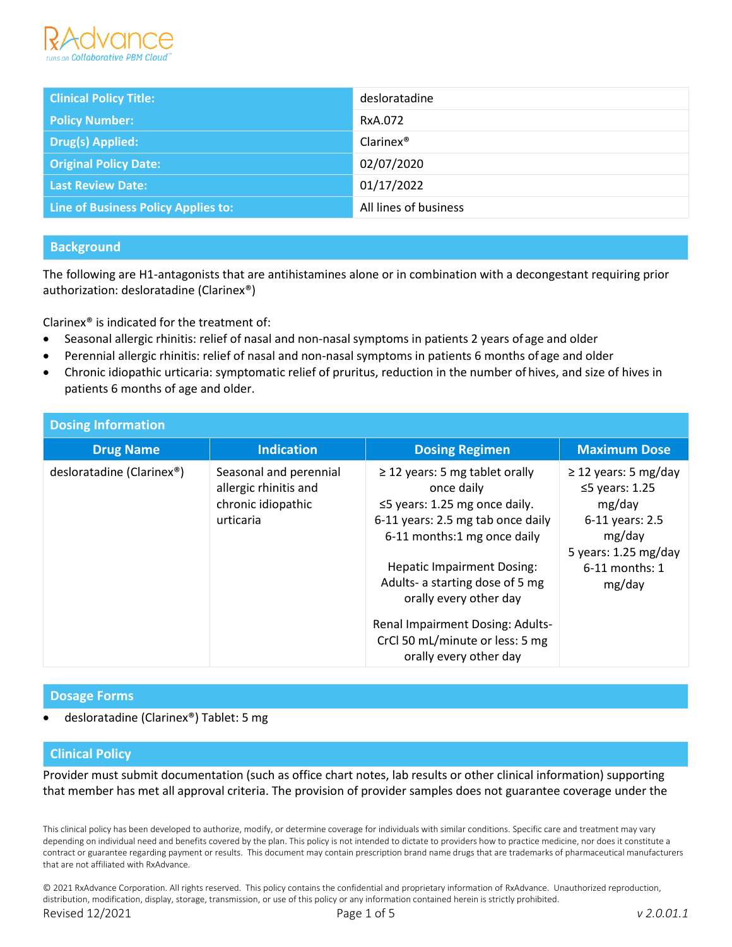

| <b>Clinical Policy Title:</b>       | desloratadine         |
|-------------------------------------|-----------------------|
| <b>Policy Number:</b>               | RxA.072               |
| Drug(s) Applied:                    | Clarine <sup>®</sup>  |
| <b>Original Policy Date:</b>        | 02/07/2020            |
| <b>Last Review Date:</b>            | 01/17/2022            |
| Line of Business Policy Applies to: | All lines of business |

# **Background**

The following are H1-antagonists that are antihistamines alone or in combination with a decongestant requiring prior authorization: desloratadine (Clarinex®)

Clarinex® is indicated for the treatment of:

- Seasonal allergic rhinitis: relief of nasal and non-nasal symptoms in patients 2 years ofage and older
- Perennial allergic rhinitis: relief of nasal and non-nasal symptoms in patients 6 months of age and older
- Chronic idiopathic urticaria: symptomatic relief of pruritus, reduction in the number of hives, and size of hives in patients 6 months of age and older.

| <b>Dosing Information</b>              |                                                                                    |                                                                                                                                                                                                                                                                                                                                                                        |                                                                                                                                                |  |  |
|----------------------------------------|------------------------------------------------------------------------------------|------------------------------------------------------------------------------------------------------------------------------------------------------------------------------------------------------------------------------------------------------------------------------------------------------------------------------------------------------------------------|------------------------------------------------------------------------------------------------------------------------------------------------|--|--|
| <b>Drug Name</b>                       | <b>Indication</b>                                                                  | <b>Dosing Regimen</b>                                                                                                                                                                                                                                                                                                                                                  | <b>Maximum Dose</b>                                                                                                                            |  |  |
| desloratadine (Clarinex <sup>®</sup> ) | Seasonal and perennial<br>allergic rhinitis and<br>chronic idiopathic<br>urticaria | $\geq$ 12 years: 5 mg tablet orally<br>once daily<br>$\leq$ 5 years: 1.25 mg once daily.<br>6-11 years: 2.5 mg tab once daily<br>6-11 months:1 mg once daily<br><b>Hepatic Impairment Dosing:</b><br>Adults- a starting dose of 5 mg<br>orally every other day<br><b>Renal Impairment Dosing: Adults-</b><br>CrCl 50 mL/minute or less: 5 mg<br>orally every other day | $\geq$ 12 years: 5 mg/day<br>$\leq$ 5 years: 1.25<br>mg/day<br>6-11 years: 2.5<br>mg/day<br>5 years: $1.25$ mg/day<br>6-11 months: 1<br>mg/day |  |  |

#### **Dosage Forms**

• desloratadine (Clarinex®) Tablet: 5 mg

### **Clinical Policy**

Provider must submit documentation (such as office chart notes, lab results or other clinical information) supporting that member has met all approval criteria. The provision of provider samples does not guarantee coverage under the

This clinical policy has been developed to authorize, modify, or determine coverage for individuals with similar conditions. Specific care and treatment may vary depending on individual need and benefits covered by the plan. This policy is not intended to dictate to providers how to practice medicine, nor does it constitute a contract or guarantee regarding payment or results. This document may contain prescription brand name drugs that are trademarks of pharmaceutical manufacturers that are not affiliated with RxAdvance.

© 2021 RxAdvance Corporation. All rights reserved. This policy contains the confidential and proprietary information of RxAdvance. Unauthorized reproduction, distribution, modification, display, storage, transmission, or use of this policy or any information contained herein is strictly prohibited. Revised 12/2021 Page 1 of 5 *v 2.0.01.1*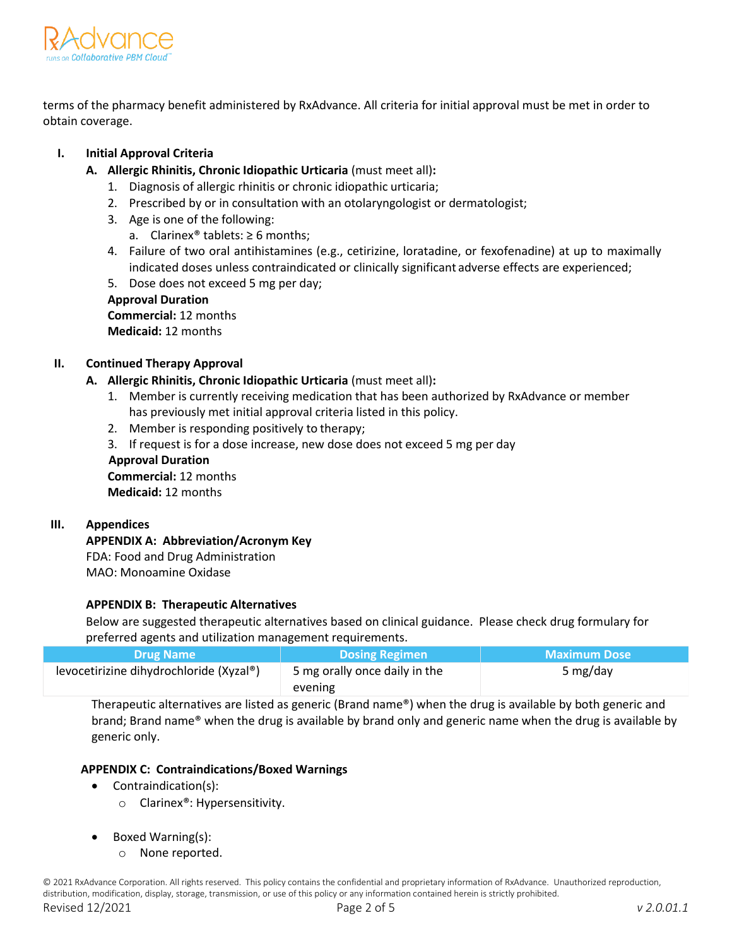

terms of the pharmacy benefit administered by RxAdvance. All criteria for initial approval must be met in order to obtain coverage.

### **I. Initial Approval Criteria**

- **A. Allergic Rhinitis, Chronic Idiopathic Urticaria** (must meet all)**:**
	- 1. Diagnosis of allergic rhinitis or chronic idiopathic urticaria;
	- 2. Prescribed by or in consultation with an otolaryngologist or dermatologist;
	- 3. Age is one of the following:
		- a. Clarinex<sup>®</sup> tablets:  $\geq 6$  months;
	- 4. Failure of two oral antihistamines (e.g., cetirizine, loratadine, or fexofenadine) at up to maximally indicated doses unless contraindicated or clinically significant adverse effects are experienced;
	- 5. Dose does not exceed 5 mg per day;

#### **Approval Duration**

**Commercial:** 12 months **Medicaid:** 12 months

#### **II. Continued Therapy Approval**

# **A. Allergic Rhinitis, Chronic Idiopathic Urticaria** (must meet all)**:**

- 1. Member is currently receiving medication that has been authorized by RxAdvance or member has previously met initial approval criteria listed in this policy.
- 2. Member is responding positively to therapy;
- 3. If request is for a dose increase, new dose does not exceed 5 mg per day

### **Approval Duration Commercial:** 12 months

**Medicaid:** 12 months

#### **III. Appendices**

# **APPENDIX A: Abbreviation/Acronym Key**

FDA: Food and Drug Administration MAO: Monoamine Oxidase

# **APPENDIX B: Therapeutic Alternatives**

Below are suggested therapeutic alternatives based on clinical guidance. Please check drug formulary for preferred agents and utilization management requirements.

| <b>NDrug Name</b>                       | <b>Dosing Regimen</b>         | <b>Maximum Dose</b> |
|-----------------------------------------|-------------------------------|---------------------|
| levocetirizine dihydrochloride (Xyzal®) | 5 mg orally once daily in the | 5 mg/day            |
|                                         | evening                       |                     |

Therapeutic alternatives are listed as generic (Brand name®) when the drug is available by both generic and brand; Brand name® when the drug is available by brand only and generic name when the drug is available by generic only.

#### **APPENDIX C: Contraindications/Boxed Warnings**

- Contraindication(s):
	- o Clarinex®: Hypersensitivity.
- Boxed Warning(s):
	- o None reported.

© 2021 RxAdvance Corporation. All rights reserved. This policy contains the confidential and proprietary information of RxAdvance. Unauthorized reproduction, distribution, modification, display, storage, transmission, or use of this policy or any information contained herein is strictly prohibited.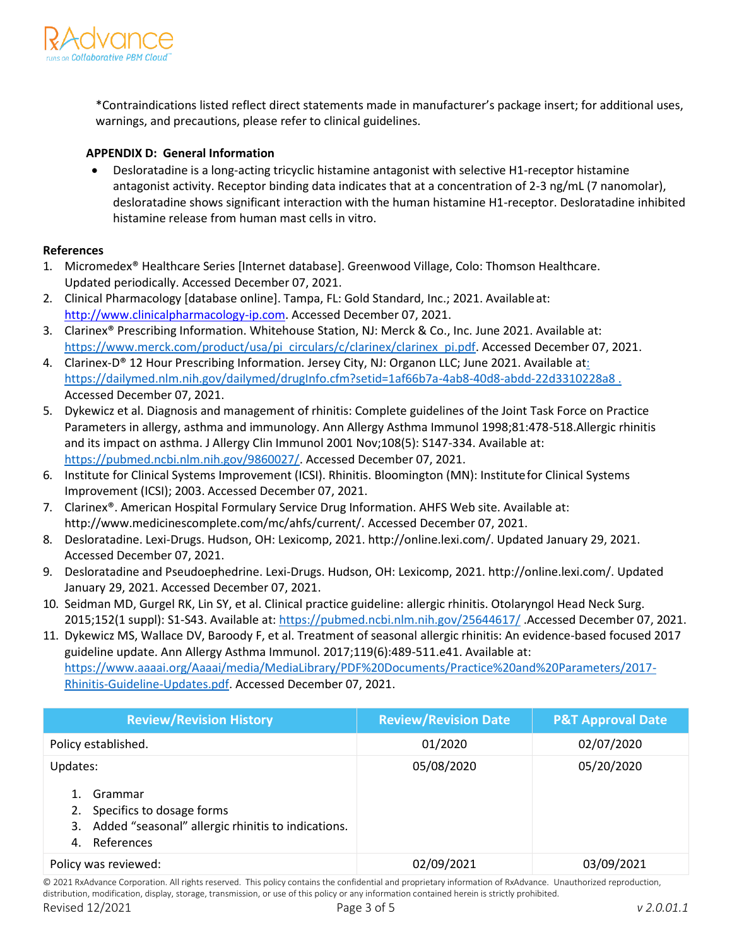

\*Contraindications listed reflect direct statements made in manufacturer's package insert; for additional uses, warnings, and precautions, please refer to clinical guidelines.

#### **APPENDIX D: General Information**

• Desloratadine is a long-acting tricyclic histamine antagonist with selective H1-receptor histamine antagonist activity. Receptor binding data indicates that at a concentration of 2-3 ng/mL (7 nanomolar), desloratadine shows significant interaction with the human histamine H1-receptor. Desloratadine inhibited histamine release from human mast cells in vitro.

#### **References**

- 1. Micromedex® Healthcare Series [Internet database]. Greenwood Village, Colo: Thomson Healthcare. Updated periodically. Accessed December 07, 2021.
- 2. Clinical Pharmacology [database online]. Tampa, FL: Gold Standard, Inc.; 2021. Availableat[:](http://www.clinicalpharmacology-ip.com/) [http://www.clinicalpharmacology-ip.com.](http://www.clinicalpharmacology-ip.com/) Accessed December 07, 2021.
- 3. Clarinex® Prescribing Information. Whitehouse Station, NJ: Merck & Co., Inc. June 2021. Available at: [https://www.merck.com/product/usa/pi\\_circulars/c/clarinex/clarinex\\_pi.pdf.](https://www.merck.com/product/usa/pi_circulars/c/clarinex/clarinex_pi.pdf) Accessed December 07, 2021.
- 4. Clarinex-D® 12 Hour Prescribing Information. Jersey City, NJ: Organon LLC; June 2021. Available a[t:](file:///C:/Users/ruchi.singh/Downloads/%20https/dailymed.nlm.nih.gov/dailymed/drugInfo.cfm%3fsetid=1af66b7a-4ab8-40d8-abdd-22d3310228a8)  https://dailymed.nlm.nih.gov/dailymed/drugInfo.cfm?setid=1af66b7a-4ab8-40d8-abdd-22d3310228a8. Accessed December 07, 2021.
- 5. Dykewicz et al. Diagnosis and management of rhinitis: Complete guidelines of the Joint Task Force on Practice Parameters in allergy, asthma and immunology. Ann Allergy Asthma Immunol 1998;81:478-518.Allergic rhinitis and its impact on asthma. J Allergy Clin Immunol 2001 Nov;108(5): S147-334. Available at: [https://pubmed.ncbi.nlm.nih.gov/9860027/.](https://pubmed.ncbi.nlm.nih.gov/9860027/) Accessed December 07, 2021.
- 6. Institute for Clinical Systems Improvement (ICSI). Rhinitis. Bloomington (MN): Institutefor Clinical Systems Improvement (ICSI); 2003. Accessed December 07, 2021.
- 7. Clarinex®. American Hospital Formulary Service Drug Information. AHFS Web site. Available [at:](http://www.medicinescomplete.com/mc/ahfs/current/)  [http://www.medicinescomplete.com/mc/ahfs/current/. A](http://www.medicinescomplete.com/mc/ahfs/current/)ccessed December 07, 2021.
- 8. Desloratadine. Lexi-Drugs. Hudson, OH: Lexicomp, 2021. http://online.lexi.com/. Updated January 29, 2021. Accessed December 07, 2021.
- 9. Desloratadine and Pseudoephedrine. Lexi-Drugs. Hudson, OH: Lexicomp, 2021. http://online.lexi.com/. Updated January 29, 2021. Accessed December 07, 2021.
- 10. Seidman MD, Gurgel RK, Lin SY, et al. Clinical practice guideline: allergic rhinitis. Otolaryngol Head Neck Surg. 2015;152(1 suppl): S1-S43. Available at: <https://pubmed.ncbi.nlm.nih.gov/25644617/> .Accessed December 07, 2021.
- 11. Dykewicz MS, Wallace DV, Baroody F, et al. Treatment of seasonal allergic rhinitis: An evidence-based focused 2017 guideline update. Ann Allergy Asthma Immunol. 2017;119(6):489-511.e41. Available at: [https://www.aaaai.org/Aaaai/media/MediaLibrary/PDF%20Documents/Practice%20and%20Parameters/2017-](https://www.aaaai.org/Aaaai/media/MediaLibrary/PDF%20Documents/Practice%20and%20Parameters/2017-Rhinitis-Guideline-Updates.pdf) [Rhinitis-Guideline-Updates.pdf.](https://www.aaaai.org/Aaaai/media/MediaLibrary/PDF%20Documents/Practice%20and%20Parameters/2017-Rhinitis-Guideline-Updates.pdf) Accessed December 07, 2021.

| <b>Review/Revision History</b>                                                                                                   | <b>Review/Revision Date</b> | <b>P&amp;T Approval Date</b> |
|----------------------------------------------------------------------------------------------------------------------------------|-----------------------------|------------------------------|
| Policy established.                                                                                                              | 01/2020                     | 02/07/2020                   |
| Updates:<br>Grammar<br>Specifics to dosage forms<br>2.<br>3. Added "seasonal" allergic rhinitis to indications.<br>4. References | 05/08/2020                  | 05/20/2020                   |
| Policy was reviewed:                                                                                                             | 02/09/2021                  | 03/09/2021                   |

© 2021 RxAdvance Corporation. All rights reserved. This policy contains the confidential and proprietary information of RxAdvance. Unauthorized reproduction, distribution, modification, display, storage, transmission, or use of this policy or any information contained herein is strictly prohibited.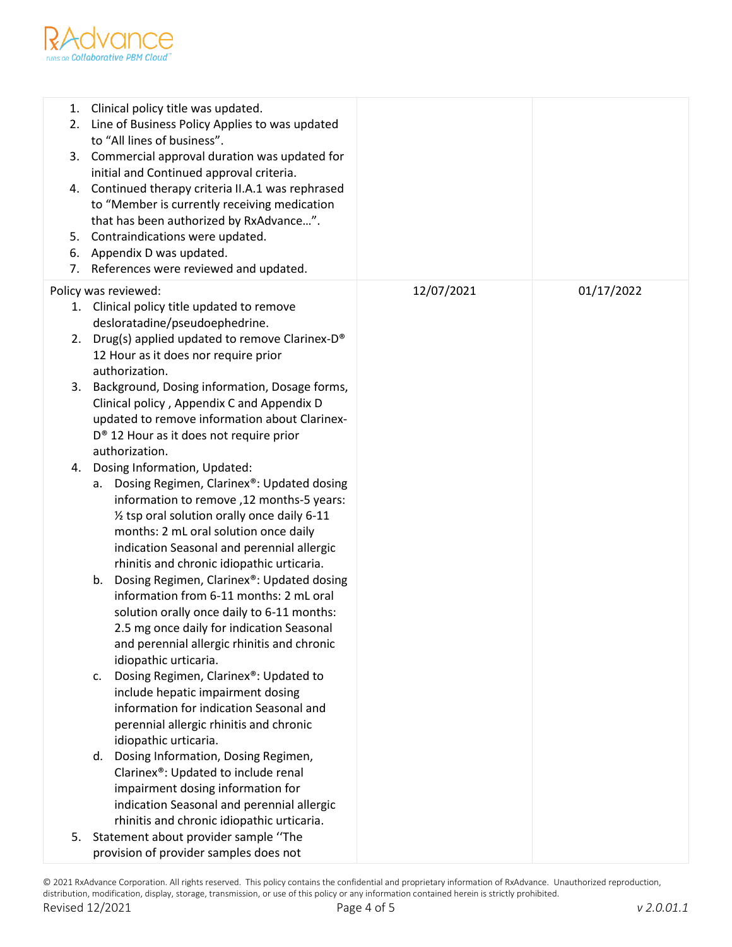

| 1.<br>2.<br>6.<br>7. | Clinical policy title was updated.<br>Line of Business Policy Applies to was updated<br>to "All lines of business".<br>3. Commercial approval duration was updated for<br>initial and Continued approval criteria.<br>4. Continued therapy criteria II.A.1 was rephrased<br>to "Member is currently receiving medication<br>that has been authorized by RxAdvance".<br>5. Contraindications were updated.<br>Appendix D was updated.<br>References were reviewed and updated.                                                                                                                                                                                                                                                                     |            |            |
|----------------------|---------------------------------------------------------------------------------------------------------------------------------------------------------------------------------------------------------------------------------------------------------------------------------------------------------------------------------------------------------------------------------------------------------------------------------------------------------------------------------------------------------------------------------------------------------------------------------------------------------------------------------------------------------------------------------------------------------------------------------------------------|------------|------------|
| Policy was reviewed: |                                                                                                                                                                                                                                                                                                                                                                                                                                                                                                                                                                                                                                                                                                                                                   | 12/07/2021 | 01/17/2022 |
|                      | 1. Clinical policy title updated to remove                                                                                                                                                                                                                                                                                                                                                                                                                                                                                                                                                                                                                                                                                                        |            |            |
|                      | desloratadine/pseudoephedrine.<br>2. Drug(s) applied updated to remove Clarinex-D®<br>12 Hour as it does nor require prior<br>authorization.                                                                                                                                                                                                                                                                                                                                                                                                                                                                                                                                                                                                      |            |            |
| 3.                   | Background, Dosing information, Dosage forms,<br>Clinical policy, Appendix C and Appendix D<br>updated to remove information about Clarinex-<br>D <sup>®</sup> 12 Hour as it does not require prior<br>authorization.                                                                                                                                                                                                                                                                                                                                                                                                                                                                                                                             |            |            |
| 4.                   | Dosing Information, Updated:                                                                                                                                                                                                                                                                                                                                                                                                                                                                                                                                                                                                                                                                                                                      |            |            |
|                      | a. Dosing Regimen, Clarinex®: Updated dosing<br>information to remove, 12 months-5 years:<br>12 tsp oral solution orally once daily 6-11<br>months: 2 mL oral solution once daily<br>indication Seasonal and perennial allergic<br>rhinitis and chronic idiopathic urticaria.<br>Dosing Regimen, Clarinex®: Updated dosing<br>b.<br>information from 6-11 months: 2 mL oral<br>solution orally once daily to 6-11 months:<br>2.5 mg once daily for indication Seasonal<br>and perennial allergic rhinitis and chronic<br>idiopathic urticaria.<br>Dosing Regimen, Clarinex®: Updated to<br>C.<br>include hepatic impairment dosing<br>information for indication Seasonal and<br>perennial allergic rhinitis and chronic<br>idiopathic urticaria. |            |            |
|                      | d. Dosing Information, Dosing Regimen,<br>Clarinex <sup>®</sup> : Updated to include renal<br>impairment dosing information for<br>indication Seasonal and perennial allergic                                                                                                                                                                                                                                                                                                                                                                                                                                                                                                                                                                     |            |            |
|                      | rhinitis and chronic idiopathic urticaria.                                                                                                                                                                                                                                                                                                                                                                                                                                                                                                                                                                                                                                                                                                        |            |            |
| 5.                   | Statement about provider sample "The<br>provision of provider samples does not                                                                                                                                                                                                                                                                                                                                                                                                                                                                                                                                                                                                                                                                    |            |            |

© 2021 RxAdvance Corporation. All rights reserved. This policy contains the confidential and proprietary information of RxAdvance. Unauthorized reproduction, distribution, modification, display, storage, transmission, or use of this policy or any information contained herein is strictly prohibited. Revised 12/2021 Page 4 of 5 *v 2.0.01.1*